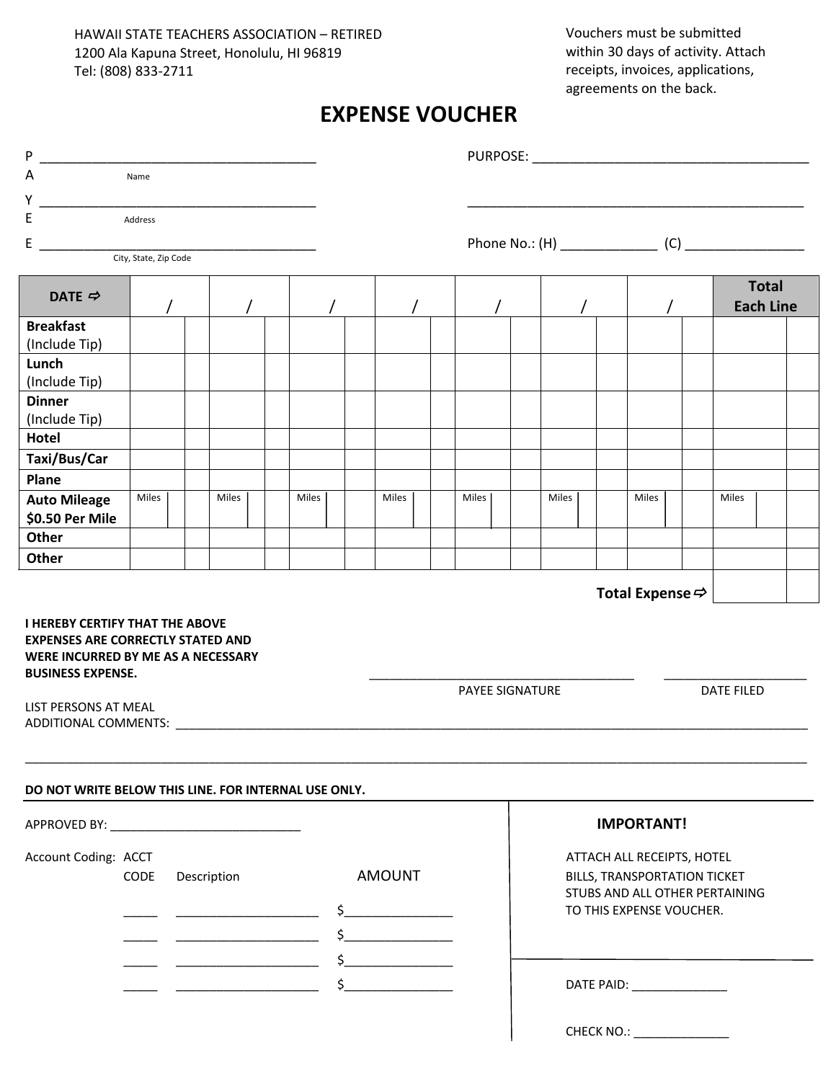Vouchers must be submitted within 30 days of activity. Attach receipts, invoices, applications, agreements on the back.

## **EXPENSE VOUCHER**

| P                                                                                                                                                    |                       |  |       |  |                                                                                                                                                                                                                                                                                                                                                                                       |  |                             |                        |                                                                                                                          |                   |  |       |  |                   |       |                              |                                  |  |  |
|------------------------------------------------------------------------------------------------------------------------------------------------------|-----------------------|--|-------|--|---------------------------------------------------------------------------------------------------------------------------------------------------------------------------------------------------------------------------------------------------------------------------------------------------------------------------------------------------------------------------------------|--|-----------------------------|------------------------|--------------------------------------------------------------------------------------------------------------------------|-------------------|--|-------|--|-------------------|-------|------------------------------|----------------------------------|--|--|
| A                                                                                                                                                    | Name                  |  |       |  |                                                                                                                                                                                                                                                                                                                                                                                       |  |                             |                        |                                                                                                                          |                   |  |       |  |                   |       |                              |                                  |  |  |
| Υ                                                                                                                                                    |                       |  |       |  |                                                                                                                                                                                                                                                                                                                                                                                       |  |                             |                        |                                                                                                                          |                   |  |       |  |                   |       |                              |                                  |  |  |
| Ε                                                                                                                                                    | Address               |  |       |  |                                                                                                                                                                                                                                                                                                                                                                                       |  |                             |                        |                                                                                                                          |                   |  |       |  |                   |       |                              |                                  |  |  |
| E                                                                                                                                                    | City, State, Zip Code |  |       |  |                                                                                                                                                                                                                                                                                                                                                                                       |  |                             |                        |                                                                                                                          |                   |  |       |  |                   |       |                              |                                  |  |  |
|                                                                                                                                                      |                       |  |       |  |                                                                                                                                                                                                                                                                                                                                                                                       |  |                             |                        |                                                                                                                          |                   |  |       |  |                   |       |                              |                                  |  |  |
| DATE $\Rightarrow$                                                                                                                                   |                       |  |       |  |                                                                                                                                                                                                                                                                                                                                                                                       |  |                             |                        |                                                                                                                          |                   |  |       |  |                   |       |                              | <b>Total</b><br><b>Each Line</b> |  |  |
| <b>Breakfast</b>                                                                                                                                     |                       |  |       |  |                                                                                                                                                                                                                                                                                                                                                                                       |  |                             |                        |                                                                                                                          |                   |  |       |  |                   |       |                              |                                  |  |  |
| (Include Tip)                                                                                                                                        |                       |  |       |  |                                                                                                                                                                                                                                                                                                                                                                                       |  |                             |                        |                                                                                                                          |                   |  |       |  |                   |       |                              |                                  |  |  |
| Lunch<br>(Include Tip)                                                                                                                               |                       |  |       |  |                                                                                                                                                                                                                                                                                                                                                                                       |  |                             |                        |                                                                                                                          |                   |  |       |  |                   |       |                              |                                  |  |  |
| <b>Dinner</b>                                                                                                                                        |                       |  |       |  |                                                                                                                                                                                                                                                                                                                                                                                       |  |                             |                        |                                                                                                                          |                   |  |       |  |                   |       |                              |                                  |  |  |
| (Include Tip)                                                                                                                                        |                       |  |       |  |                                                                                                                                                                                                                                                                                                                                                                                       |  |                             |                        |                                                                                                                          |                   |  |       |  |                   |       |                              |                                  |  |  |
| Hotel                                                                                                                                                |                       |  |       |  |                                                                                                                                                                                                                                                                                                                                                                                       |  |                             |                        |                                                                                                                          |                   |  |       |  |                   |       |                              |                                  |  |  |
| Taxi/Bus/Car                                                                                                                                         |                       |  |       |  |                                                                                                                                                                                                                                                                                                                                                                                       |  |                             |                        |                                                                                                                          |                   |  |       |  |                   |       |                              |                                  |  |  |
| Plane                                                                                                                                                |                       |  |       |  |                                                                                                                                                                                                                                                                                                                                                                                       |  |                             |                        |                                                                                                                          |                   |  |       |  |                   |       |                              |                                  |  |  |
| <b>Auto Mileage</b><br>\$0.50 Per Mile                                                                                                               | Miles                 |  | Miles |  | Miles                                                                                                                                                                                                                                                                                                                                                                                 |  | Miles                       |                        | Miles                                                                                                                    |                   |  | Miles |  |                   | Miles |                              | Miles                            |  |  |
| Other                                                                                                                                                |                       |  |       |  |                                                                                                                                                                                                                                                                                                                                                                                       |  |                             |                        |                                                                                                                          |                   |  |       |  |                   |       |                              |                                  |  |  |
| Other                                                                                                                                                |                       |  |       |  |                                                                                                                                                                                                                                                                                                                                                                                       |  |                             |                        |                                                                                                                          |                   |  |       |  |                   |       |                              |                                  |  |  |
| <b>I HEREBY CERTIFY THAT THE ABOVE</b><br><b>EXPENSES ARE CORRECTLY STATED AND</b><br>WERE INCURRED BY ME AS A NECESSARY<br><b>BUSINESS EXPENSE.</b> |                       |  |       |  |                                                                                                                                                                                                                                                                                                                                                                                       |  |                             |                        |                                                                                                                          |                   |  |       |  |                   |       | Total Expense $\Rightarrow$  |                                  |  |  |
| LIST PERSONS AT MEAL<br>ADDITIONAL COMMENTS: ADDITIONAL                                                                                              |                       |  |       |  |                                                                                                                                                                                                                                                                                                                                                                                       |  |                             | <b>PAYEE SIGNATURE</b> |                                                                                                                          |                   |  |       |  | <b>DATE FILED</b> |       |                              |                                  |  |  |
| DO NOT WRITE BELOW THIS LINE. FOR INTERNAL USE ONLY.                                                                                                 |                       |  |       |  |                                                                                                                                                                                                                                                                                                                                                                                       |  |                             |                        |                                                                                                                          |                   |  |       |  |                   |       |                              |                                  |  |  |
|                                                                                                                                                      |                       |  |       |  |                                                                                                                                                                                                                                                                                                                                                                                       |  |                             |                        |                                                                                                                          | <b>IMPORTANT!</b> |  |       |  |                   |       |                              |                                  |  |  |
| Account Coding: ACCT<br>CODE<br>Description                                                                                                          |                       |  |       |  | <b>AMOUNT</b><br>$\begin{picture}(20,20) \put(0,0){\line(1,0){10}} \put(15,0){\line(1,0){10}} \put(15,0){\line(1,0){10}} \put(15,0){\line(1,0){10}} \put(15,0){\line(1,0){10}} \put(15,0){\line(1,0){10}} \put(15,0){\line(1,0){10}} \put(15,0){\line(1,0){10}} \put(15,0){\line(1,0){10}} \put(15,0){\line(1,0){10}} \put(15,0){\line(1,0){10}} \put(15,0){\line(1$<br>$\frac{1}{2}$ |  |                             |                        | ATTACH ALL RECEIPTS, HOTEL<br>BILLS, TRANSPORTATION TICKET<br>STUBS AND ALL OTHER PERTAINING<br>TO THIS EXPENSE VOUCHER. |                   |  |       |  |                   |       |                              |                                  |  |  |
|                                                                                                                                                      |                       |  |       |  |                                                                                                                                                                                                                                                                                                                                                                                       |  | DATE PAID: ________________ |                        |                                                                                                                          |                   |  |       |  |                   |       |                              |                                  |  |  |
|                                                                                                                                                      |                       |  |       |  |                                                                                                                                                                                                                                                                                                                                                                                       |  |                             |                        |                                                                                                                          |                   |  |       |  |                   |       | CHECK NO.: _________________ |                                  |  |  |